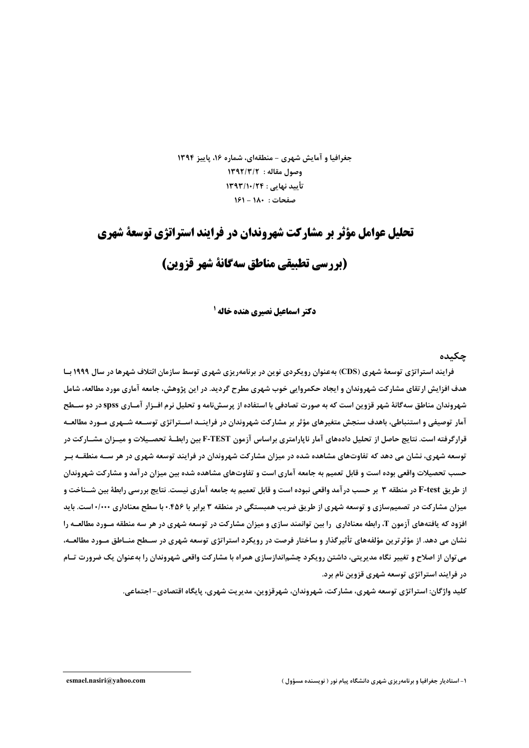جغرافیا و آمایش شهری - منطقهای، شماره ۱۶، پاییز ۱۳۹۴ 1392/3/17 مقاله: ١٣٩٢/٣/٢ تأييد نهايي : ١٣٩٣/١٠/٢۴ صفحات: ١٨٠ - ١۶١

# تحلیل عوامل مؤثر بر مشارکت شهروندان در فرایند استراتژی توسعة شهری

# (بررسي تطبيقي مناطق سهگانة شهر قزوين)

**دکتر اسماعیل نصیری هنده خاله <sup>۱</sup>** 

#### حكىدە

فرایند استراتژی توسعهٔ شهری (CDS) بهعنوان رویکردی نوین در برنامهریزی شهری توسط سازمان ائتلاف شهرها در سال ۱۹۹۹ ب هدف افزایش ارتقای مشارکت شهروندان و ایجاد حکمروایی خوب شهری مطرح گردید. در این پژوهش، جامعه آماری مورد مطالعه، شامل شهروندان مناطق سهگانهٔ شهر قزوین است که به صورت تصادفی با استفاده از پرسشiامه و تحلیل نرم افـزار آمـاری spss در دو سـطح آمار توصیفی و استنباطی، باهدف سنجش متغیرهای مؤثر بر مشارکت شهروندان در فراینــد اســتراتژی توســعه شــهری مـورد مطالعــه قرارگرفته است. نتایج حاصل از تحلیل دادههای آمار ناپارامتری براساس آزمون F-TEST بین رابطـهٔ تحصـیلات و میــزان مشــارکت در توسعه شهری، نشان می دهد که تفاوتهای مشاهده شده در میزان مشارکت شهروندان در فرایند توسعه شهری در هر ســه منطقــه بــر حسب تحصیلات واقعی بوده است و قابل تعمیم به جامعه آماری است و تفاوتهای مشاهده شده بین میزان درآمد و مشارکت شهروندان از طریق F-test در منطقه ۳ بر حسب درآمد واقعی نبوده است و قابل تعمیم به جامعه آماری نیست. نتایج بررسی رابطهٔ بین شــناخت و میزان مشارکت در تصمیمسازی و توسعه شهری از طریق ضریب همبستگی در منطقه ۳ برابر با ۴۵۶۰+ با سطح معناداری ۱٬۱۰۰+ست. باید افزود که یافتههای آزمون T، رابطه معناداری ۱را بین توانمند سازی و میزان مشارکت در توسعه شهری در هر سه منطقه مـورد مطالعـه را نشان می دهد. از مؤثرترین مؤلفههای تأثیرگذار و ساختار فرصت در رویکرد استراتژی توسعه شهری در سـطح منــاطق مــورد مطالعــه، می توان از اصلاح و تغییر نگاه مدیریتی، داشتن رویکرد چشماندازسازی همراه با مشارکت واقعی شهروندان را بهعنوان یک ضرورت تسام در فرایند استراتژی توسعه شهری قزوین نام برد.

کليد واژگان: استراتژي توسعه شهري، مشارکت، شهروندان، شهرقزوين، مديريت شهري، پايگاه اقتصادي – اجتماعي.

۱- استادیار جغرافیا و برنامهریزی شهری دانشگاه پیام نور ( نویسنده مسؤول )

esmael.nasiri@yahoo.com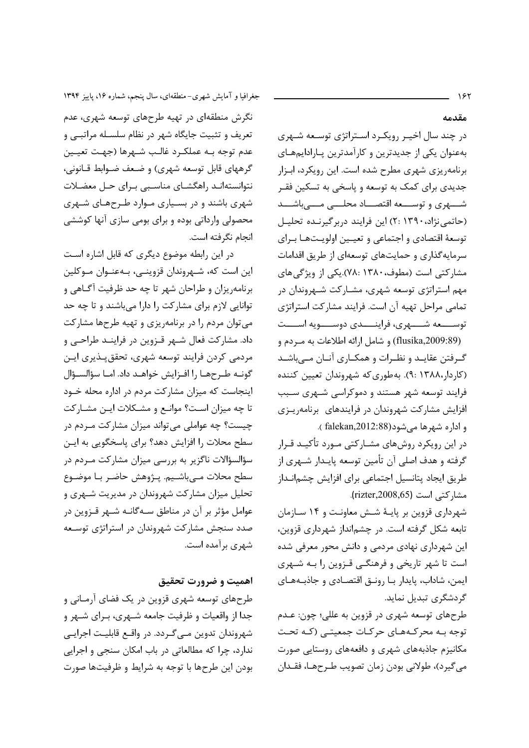۱۶۲

مقدمه

در چند سال اخیـر رویکـرد اسـتراتژی توسـعه شـهری بهعنوان یکی از جدیدترین و کارآمدترین پـارادایمهـای برنامهریزی شهری مطرح شده است. این رویکرد، ابـزار جدیدی برای کمک به توسعه و پاسخی به تسکین فقـر شسهري وتوسسعه اقتصــاد محلـــي مـــيباشـــد (حاتمی نژاد، ۱۳۹۰ :۲) این فرایند دربر گیرنـده تحلیـل توسعهٔ اقتصادی و اجتماعی و تعیـین اولویـتهـا بـرای سرمایه گذاری و حمایتهای توسعهای از طریق اقدامات مشارکتی است (مطوف، ۱۳۸۰ :۷۸).یکی از ویژگی های مهم استراتژی توسعه شهری، مشـارکت شـهروندان در تمامی مراحل تهیه آن است. فرایند مشارکت استراتژی توســــعه شـــــهرى، فراينـــــدى دوســـــويه اســــت

(flusika,2009:89) و شامل ارائه اطلاعات به مـردم و گـرفتن عقايــد و نظـرات و همكــارى آنــان مــى باشــد (کاردار،۱۳۸۸). به طوری که شهروندان تعیین کننده فرایند توسعه شهر هستند و دموکراسی شـهری سـبب افزایش مشارکت شهروندان در فرایندهای برنامهریـزی و اداره شهرها مي شود(12:88.falekan).

در این رویکرد روشهای مشـارکتی مـورد تأکیـد قـرار گرفته و هدف اصلی آن تأمین توسعه پایـدار شـهري از طريق ايجاد پتانسيل اجتماعي براي افزايش چشمانـداز مشاركتي است (rizter,2008,65).

شهرداری قزوین بر پایـهٔ شـش معاونـت و ۱۴ سـازمان تابعه شکل گرفته است. در چشمانداز شهرداری قزوین، این شهرداری نهادی مردمی و دانش محور معرفی شده است تا شهر تاریخی و فرهنگـی قـزوین را بـه شـهری ايمن، شاداب، پايدار بـا رونـق اقتصـادي و جاذبـههـاي گردشگری تبدیل نماید.

طرحهای توسعه شهری در قزوین به عللی؛ چون: عـدم توجه بـه محركـههـاي حركـات جمعيتـى (كـه تحـت مکانیزم جاذبههای شهری و دافعههای روستایی صورت مي گيرد)، طولاني بودن زمان تصويب طـرحهـا، فقـدان

جغرافیا و آمایش شهری- منطقهای، سال پنجم، شماره ۱۶، پاییز ۱۳۹۴ نگرش منطقهای در تهیه طرحهای توسعه شهری، عدم تعریف و تثبیت جایگاه شهر در نظام سلسـله مراتبـی و عدم توجه بــه عملكــرد غالــب شــهرها (جهـت تعيــين گرههای قابل توسعه شهری) و ضعف ضـوابط قـانونی، نتوانستهانـد راهگشـاي مناسـبي بـراي حـل معضـلات شهری باشند و در بسیاری مـوارد طـرحهـای شـهری محصولی وارداتی بوده و برای بومی سازی آنها کوششی انجام نگرفته است.

در این رابطه موضوع دیگری که قابل اشاره است این است که، شـهروندان قزوینـی، بـهعنـوان مـوکلین برنامه٫یزان و طراحان شهر تا چه حد ظرفیت آگـاهی و توانایی لازم برای مشارکت را دارا میباشند و تا چه حد میتوان مردم را در برنامهریزی و تهیه طرحها مشارکت داد. مشارکت فعال شـهر قـزوين در فراينــد طراحـي و مردمی کردن فرایند توسعه شهری، تحقق پـذیری ایـن گونـه طـرحهـا را افـزايش خواهـد داد. امـا سؤالسـؤال اینجاست که میزان مشارکت مردم در اداره محله خـود تا چه میزان اسـت؟ موانـع و مشـكلات ایـن مشـاركت چیست؟ چه عواملی می تواند میزان مشارکت مـردم در سطح محلات را افزایش دهد؟ برای پاسخگویی به ایـن سؤالسؤالات ناگزیر به بررسی میزان مشارکت مـردم در سطح محلات مے باشـيم. پــژوهش حاضـر بــا موضــوع تحلیل میزان مشارکت شهروندان در مدیریت شـهری و عوامل مؤثر بر آن در مناطق سـه گانــه شــهر قــزوين در صدد سنجش مشارکت شهروندان در استراتژی توسـعه شهری برآمده است.

### اهميت و ضرورت تحقيق

طرحهای توسعه شهری قزوین در یک فضای آرمـانی و جدا از واقعیات و ظرفیت جامعه شـهری، بـرای شـهر و شهروندان تدوين مـي گـردد. در واقـع قابليـت اجرايـي ندارد، چرا که مطالعاتی در باب امکان سنجی و اجرایی بودن این طرحها با توجه به شرایط و ظرفیتها صورت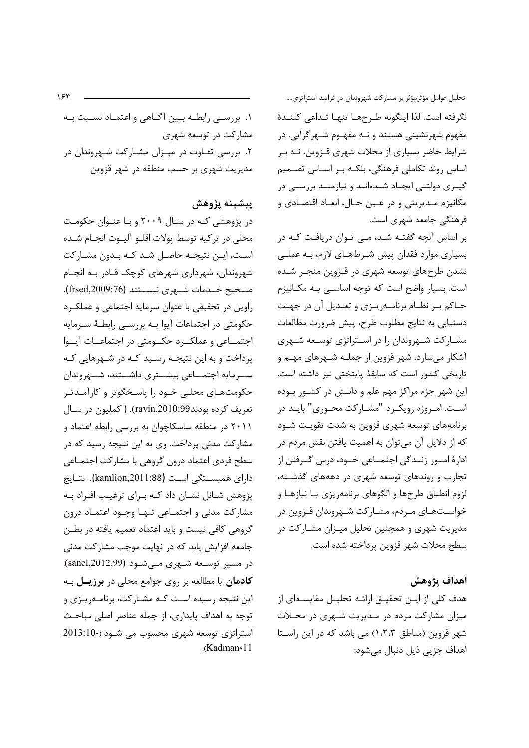تحلیل عوامل مؤثرمؤثر بر مشارکت شهروندان در فرایند استراتژی.... نگرفته است. لذا اینگونه طرحها تنها تـداعی كننـدهٔ مفهوم شهرنشینی هستند و نـه مفهـوم شـهرگرایی. در شرایط حاضر بسیاری از محلات شهری قـزوین، نــه بـر اساس روند تكاملي فرهنگي، بلكـه بـر اسـاس تصـميم گیری دولتی ایجاد شدهاند و نیازمند بررسی در مکانیزم مـدیریتی و در عـین حـال، ابعـاد اقتصـادی و فرهنگی جامعه شهری است.

بر اساس آنچه گفتـه شـد، مـی تـوان دریافـت کـه در بسیاری موارد فقدان پیش شـرطهـای لازم، بـه عملـی نشدن طرحهای توسعه شهری در قـزوین منجـر شـده است. بسیار واضح است که توجه اساسـی بـه مکـانیزم حـاکم بـر نظـام برنامـهريـزي و تعـديل آن در جهـت دستيابي به نتايج مطلوب طرح، پيش ضرورت مطالعات مشــارکت شــهروندان را در اســتراتژی توســعه شــهری آشکار می سازد. شهر قزوین از جملـه شـهرهای مهـم و تاریخی کشور است که سابقهٔ پایتختی نیز داشته است. این شهر جزء مراکز مهم علم و دانـش در کشـور بـوده است. امروزه رویک رد "مشـارکت محـوری" بایـد در برنامههای توسعه شهری قزوین به شدت تقویت شـود که از دلایل آن میتوان به اهمیت یافتن نقش مردم در ادارهٔ امور زنـدگی اجتمــاعی خــود، درس گــرفتن از تجارب و روندهای توسعه شهری در دهههای گذشته، لزوم انطباق طرحها و الگوهای برنامهریزی بـا نیازهـا و خواسـتهـای مـردم، مشـارکت شـهروندان قـزوین در مدیریت شهری و همچنین تحلیل میـزان مشـارکت در سطح محلات شهر قزوين يرداخته شده است.

### اهداف يژوهش

هدف کلی از ایـن تحقیـق ارائـه تحلیـل مقایسـهای از میزان مشارکت مردم در مـدیریت شـهری در محـلات شهر قزوین (مناطق ١،٢،٣) می باشد که در این راستا اهداف جزیے ذیل دنبال مے شود:

۱. بررســی رابطــه بــین آگــاهی و اعتمــاد نســبت بــه مشارکت در توسعه شهری ۲. بررسی تفـاوت در میـزان مشـارکت شـهروندان در مدیریت شهری بر حسب منطقه در شهر قزوین

#### پيشينه پژوهش

در پژوهشی کـه در سـال ۲۰۰۹ و بـا عنـوان حکومـت محلي در تركيه توسط يولات اقلـو آليـوت انجـام شـده اسـت، ايــن نتيجــه حاصــل شــد كــه بــدون مشــاركت شهروندان، شهرداری شهرهای کوچک قـادر بـه انجـام صحيح خــدمات شــهري نيســتند (frsed,2009:76). راوین در تحقیقی با عنوان سرمایه اجتماعی و عملک رد حکومتی در اجتماعات آیوا بـه بررسـی رابطـهٔ سـرمایه اجتمــاعي و عملكــرد حكــومتي در اجتماعــات آيــوا پرداخت و به این نتیجـه رسـید کـه در شـهرهایی کـه ســرمایه اجتمــاعی بیشــتری داشـــتند، شــهروندان حکومتهـای محلـی خـود را پاسـخگوتر و کارآمـدتـر تعريف كرده بودند99:10:99). (كمليون در سـال ۲۰۱۱ در منطقه ساسکاچوان به بررسی رابطه اعتماد و مشارکت مدنی پرداخت. وی به این نتیجه رسید که در سطح فردی اعتماد درون گروهی با مشارکت اجتمـاعی داراي همبسـتگي اسـت (kamlion,2011:88). نتـايج پژوهش شـانل نشـان داد كــه بـراي ترغيـب افـراد بــه مشاركت مدنى و اجتمـاعى تنهـا وجـود اعتمـاد درون گروهی کافی نیست و باید اعتماد تعمیم یافته در بطـن جامعه افزایش یابد که در نهایت موجب مشارکت مدنی در مسیر توسعه شـهری مـی شـود (sanel,2012,99). **کادمان** با مطالعه بر روی جوامع محلی در برزیــل بـه این نتیجه رسیده است کـه مشـارکت، برنامـهریـزی و توجه به اهداف پايداري، از جمله عناصر اصلي مباحث استراتژی توسعه شهری محسوب می شود (-2013:10  $K$ adman $\cdot$ 11

 $155$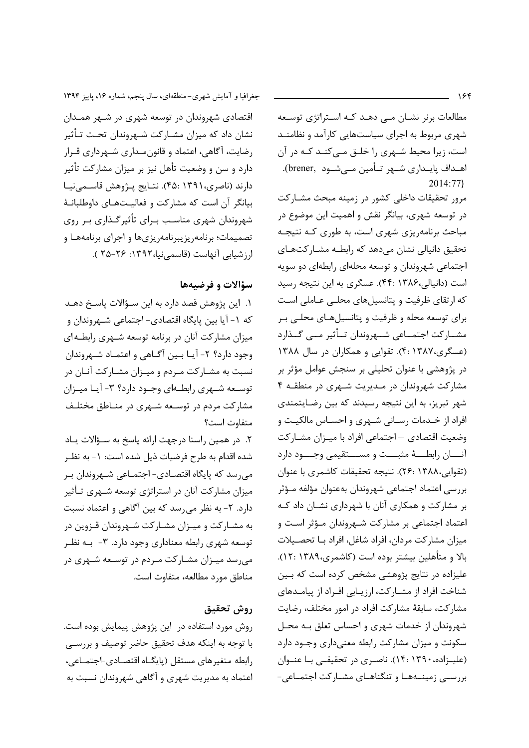$156$ 

مطالعات برنر نشان مے دھـد كـه اسـتراتژى توسـعه شهری مربوط به اجرای سیاستهایی کارآمد و نظامنـد است، زیرا محیط شـهری را خلـق مـی کنـد کـه در آن اهـداف پايـداري شـهر تـأمين مـيشـود ,brener).  $2014:77$ 

مرور تحقیقات داخلی کشور در زمینه مبحث مشـارکت در توسعه شهری، بیانگر نقش و اهمیت این موضوع در مباحث برنامهریزی شهری است، به طوری کـه نتیجـه تحقیق دانیالی نشان می دهد که رابطـه مشـارکتهـای اجتماعی شهروندان و توسعه محلهای رابطهای دو سویه است (دانیالی،۱۳۸۶ :۴۴). عسگری به این نتیجه رسید که ارتقای ظرفیت و پتانسیلهای محلبی عـاملی اسـت برای توسعه محله و ظرفیت و پتانسیلهای محلـی بـر مشــاركت اجتمــاعي شــهروندان تــأثير مــي گــذارد (عسگری،۱۳۸۷ :۴). تقوایی و همکاران در سال ۱۳۸۸ در پژوهشی با عنوان تحلیلی بر سنجش عوامل مؤثر بر مشارکت شهروندان در مـدیریت شـهری در منطقـه ۴ شهر تبریز، به این نتیجه رسیدند که بین رضایتمندی افراد از خـدمات رسـاني شـهري و احسـاس مالكيـت و وضعیت اقتصادی — اجتماعی افراد با میـزان مشـارکت أنسان رابطه مثبست و مسستقيمي وجسود دارد (تقوايي،٢٤١/ :٢۶). نتيجه تحقيقات كاشمرى با عنوان بررسي اعتماد اجتماعي شهروندان بهعنوان مؤلفه مـؤثر بر مشارکت و همکاری آنان با شهرداری نشـان داد کـه اعتماد اجتماعی بر مشارکت شـهروندان مـؤثر اسـت و میزان مشارکت مردان، افراد شاغل، افراد بـا تحصـیلات بالا و متأهلين بيشتر بوده است (كاشمرى،١٣٨٩ :١٢). علیزاده در نتایج پژوهشی مشخص کرده است که بـین شناخت افراد از مشـاركت، ارزيـابي افـراد از پيامـدهاي مشاركت، سابقهٔ مشاركت افراد در امور مختلف، رضايت شهروندان از خدمات شهری و احساس تعلق بـه محـل سکونت و میزان مشارکت رابطه معنیداری وجـود دارد (علیـزاده، ۱۳۹۰ :۱۴). ناصـری در تحقیقـی بـا عنـوان بررسے، زمینــههــا و تنگناهــای مشــارکت اجتمــاعی-

جغرافیا و آمایش شهری-منطقهای، سال پنجم، شماره ۱۶، پاییز ۱۳۹۴ اقتصادی شهروندان در توسعه شهری در شـهر همـدان نشان داد که میزان مشـارکت شـهروندان تحـت تـأثیر رضایت، آگاهی، اعتماد و قانونمـداري شـهرداري قـرار دارد و سن و وضعیت تأهل نیز بر میزان مشارکت تأثیر دارند (ناصري،١٣٩١ :۴۵). نتـايج پــژوهش قاســمىنيــا بیانگر آن است که مشارکت و فعالیتهای داوطلبانـهٔ شهروندان شهری مناسب برای تأثیرگذاری بر روی تصمیمات؛ برنامهریزیبرنامهریزیها و اجرای برنامههـا و ارزشيابي آنهاست (قاسمي نيا،١٣٩٢: ٢٥-٢٥ ).

## سؤالات و فرضيهها

١. اين پژوهش قصد دارد به اين سـؤالات پاسـخ دهـد که ۱- آیا بین پایگاه اقتصادی- اجتماعی شـهروندان و میزان مشارکت آنان در برنامه توسعه شـهری رابطـهای وجود دارد؟ ٢- آيــا بــين آگــاهي و اعتمــاد شــهروندان نسبت به مشـاركت مـردم و ميـزان مشـاركت آنـان در توسـعه شـهري رابطـهاي وجـود دارد؟ ٣- آيـا ميـزان مشارکت مردم در توسعه شـهری در منـاطق مختلـف متفاوت است؟

٢. در همين راستا درجهت ارائه پاسخ به سـؤالات يـاد شده اقدام به طرح فرضیات ذیل شده است: ١- به نظـر می,رسد که پایگاه اقتصـادی- اجتمـاعی شـهروندان بـر میزان مشارکت آنان در استراتژی توسعه شـهری تـأثیر دارد. ۲- به نظر می رسد که بین آگاهی و اعتماد نسبت به مشـارکت و میـزان مشـارکت شـهروندان قـزوين در توسعه شهری رابطه معناداری وجود دارد. ۳- بـه نظـر می رسد میـزان مشـارکت مـردم در توسـعه شـهری در مناطق مورد مطالعه، متفاوت است.

## روش تحقيق

روش مورد استفاده در آین پژوهش پیمایش بوده است. با توجه به اينكه هدف تحقيق حاضر توصيف و بررسبي رابطه متغيرهاى مستقل (پايگـاه اقتصـادى-اجتمـاعى، اعتماد به مدیریت شهری و آگاهی شهروندان نسبت به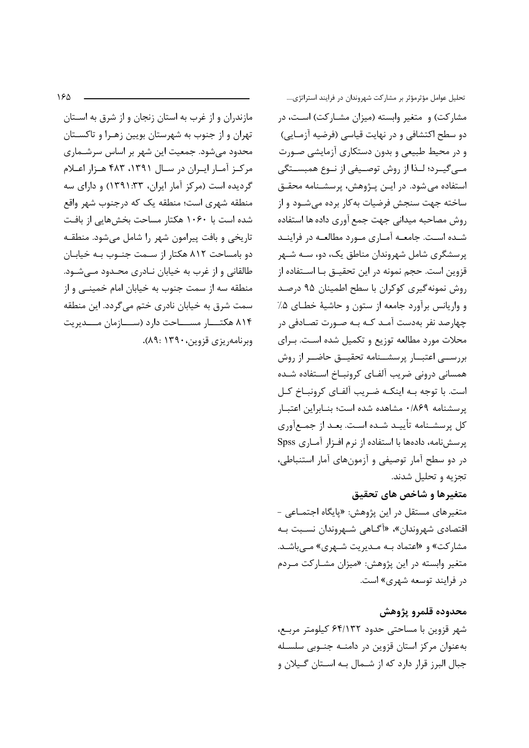مازندران و از غرب به استان زنجان و از شرق به اسـتان تهران و از جنوب به شهرستان بويين زهـرا و تاكسـتان محدود می شود. جمعیت این شهر بر اساس سرشـماری مرکز آمار ایران در سال ۱۳۹۱، ۴۸۳ هـزار اعـلام گردیده است (مرکز آمار ایران، ۱۳۳٬۱۰۳۳) و دارای سه منطقه شهري است؛ منطقه يک که درجنوب شهر واقع شده است با ۱۰۶۰ هکتار مساحت بخش هایی از بافت تاریخی و بافت پیرامون شهر را شامل می شود. منطقـه دو بامساحت ۸۱۲ هکتار از سـمت جنـوب بـه خیابـان طالقانی و از غرب به خیابان نـادری محـدود مـیشـود. منطقه سه از سمت جنوب به خیابان امام خمینــی و از سمت شرق به خیابان نادری ختم می گردد. این منطقه ۸۱۴ هکتــــار مســـــاحت دارد (ســـــازمان مــــديريت وبرنامه, یزی قزوین، ۱۳۹۰: ۸۹).

تحلیل عوامل مؤثرمؤثر بر مشارکت شهروندان در فرایند استراتژی.... مشارکت) و متغیر وابسته (میزان مشـارکت) اسـت، در دو سطح اکتشافی و در نهایت قیاسی (فرضیه آزمـایی) و در محیط طبیعی و بدون دستکاری آزمایشی صورت مبي گيــرد؛ لــذا از روش توصــيفي از نــوع همبســتگي استفاده می شود. در ایـن پـژوهش، پرسشـنامه محقـق ساخته جهت سنجش فرضيات به كار برده مى شــود و از روش مصاحبه ميداني جهت جمع آوري داده ها استفاده شـده اسـت. جامعــه آمــاري مــورد مطالعــه در فراينــد پرسشگری شامل شهروندان مناطق یک، دو، سـه شـهر قزوین است. حجم نمونه در این تحقیــق بــا اســتفاده از روش نمونه گیری کوکران با سطح اطمینان ۹۵ درصد و واریانس برآورد جامعه از ستون و حاشیهٔ خطـای ۵٪ چهارصد نفر بهدست آمـد كـه بـه صـورت تصـادفى در محلات مورد مطالعه توزیع و تکمیل شده است. بـرای بررســـی اعتبـــار پرسشــنامه تحقیـــق حاضــر از روش همسانی درونی ضریب آلفـای کرونبــاخ اســتفاده شــده است. با توجه بـه اینکـه ضـریب آلفـای کرونبـاخ کـل يرسشنامه ٨٤٩٠ مشاهده شده است؛ بنـابراين اعتبـار كل پرسشـنامه تأييـد شـده اسـت. بعـد از جمـع[ورى يرسش نامه، دادهها با استفاده از نرم افـزار آمـاری Spss در دو سطح آمار توصیفی و آزمونهای آمار استنباطی، تجزيه و تحليل شدند.

### متغيرها و شاخص هاي تحقيق

متغیرهای مستقل در این پژوهش: «پایگاه اجتمـاعی -اقتصادي شهروندان»، «آگــاهي شــهروندان نســبت بــه مشارکت» و «اعتماد بـه مـديريت شـهري» مـيباشـد. متغیر وابسته در این پژوهش: «میزان مشـارکت مـردم در فرایند توسعه شهری» است.

محدوده قلمرو پژوهش شهر قزوین با مساحتی حدود ۶۴/۱۳۲ کیلومتر مربع، به عنوان مرکز استان قزوین در دامنـه جنـوبی سلسـله جبال البرز قرار دارد که از شــمال بــه اســتان گــيلان و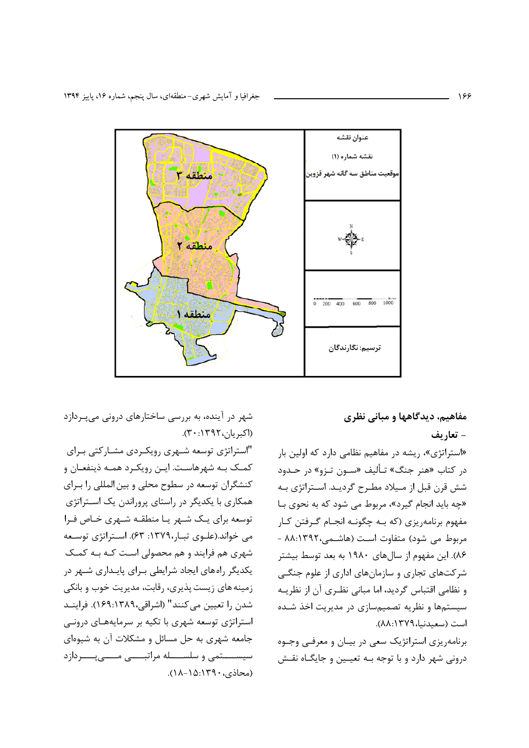

شهر در آینده، به بررسی ساختارهای درونی می بردازد (اکبریان،۱۳۹۲:۴۰).

"استراتژی توسعه شـهری رویکـردی مشـارکتی بـرای كمـك بـه شهرهاسـت. ايـن رويكـرد همـه ذينفعـان و کنشگران توسعه در سطوح محلی و بین المللی را بـرای همکاری با یکدیگر در راستای پروراندن یک استراتژی توسعه برای یک شـهر یـا منطقـه شـهری خـاص فـرا می خواند.(علـوی تبـار،١٣٧٩: ۶۳). اسـتراتژی توسـعه شهری هم فرایند و هم محصولی است کـه بـه کمـک یکدیگر راههای ایجاد شرایطی بـرای پایـداری شـهر در زمینه های زیست پذیری، رقابت، مدیریت خوب و بانکی شدن را تعیین می کنند" (اشراقی،۱۳۸۹؛۱۶۹). فراینـد استراتژی توسعه شهری با تکیه بر سرمایههای درونی جامعه شهری به حل مسائل و مشکلات آن به شیوهای سيســــتمى و سلســــله مراتبــــى مـــــى يــــردازد (محاذی،۱۳۹۰-۱۵۱۸).

# مفاهيم، ديدگاهها و مباني نظري - تعاريف

«استراتژی»، ریشه در مفاهیم نظامی دارد که اولین بار در کتاب «هنر جنگ» تـأليف «سـون تـزو» در حـدود شش قرن قبل از مـيلاد مطـرح گرديـد. اسـتراتژي بـه «چه باید انجام گیرد»، مربوط می شود که به نحوی بـا مفهوم برنامه یزی (که بـه چگونـه انجـام گـرفتن کـار مربوط می شود) متفاوت است (هاشمی،۱۳۹۲-۸۸.۱ ۸۶). این مفهوم از سالهای ۱۹۸۰ به بعد توسط بیشتر شرکتهای تجاری و سازمانهای اداری از علوم جنگبی و نظامی اقتباس گردید، اما مبانی نظـری آن از نظریـه سیستمها و نظریه تصمیمسازی در مدیریت اخذ شـده است (سعيدنيا،١٣٧٩:٨٨).

برنامهریزی استراتژیک سعی در بیـان و معرفـی وجـوه درونی شهر دارد و با توجه بـه تعیـین و جایگـاه نقـش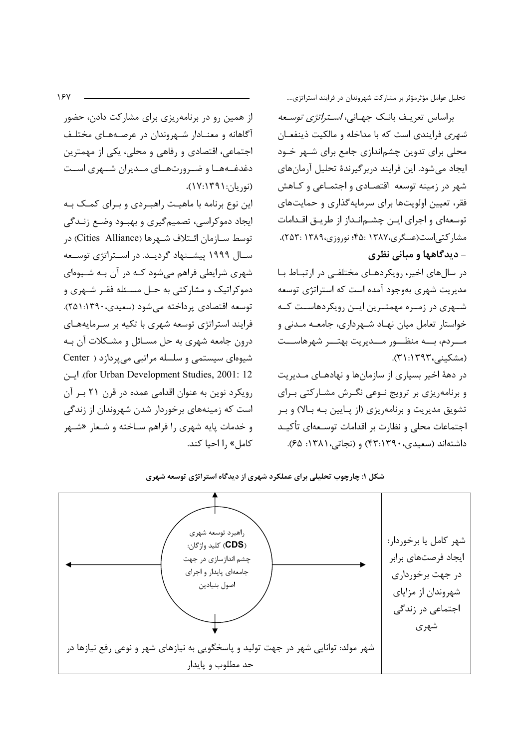تحلیل عوامل مؤثرمؤثر بر مشارکت شهروندان در فرایند استراتژی....

براساس تعریـف بانـک جهـانی، *اسـتراتژی توسـعه شهري* فرايندي است كه با مداخله و مالكيت ذينفعـان محلی برای تدوین چشماندازی جامع برای شـهر خـود ایجاد می شود. این فرایند دربر گیرندهٔ تحلیل آرمانهای شهر در زمینه توسعه اقتصادی و اجتمـاعی و کـاهش فقر، تعیین اولویتها برای سرمایهگذاری و حمایتهای توسعهای و اجرای ایـن چشـمانـداز از طریـق اقـدامات مشاركتي|ست(عسگري،١٣٨٧ :۴۵؛ نوروزي،١٣٨٩ :٢۵٣).

- دیدگاهها و مبانی نظری

در سالهای اخیر، رویکردهـای مختلفـی در ارتبـاط بـا مدیریت شهری بهوجود آمده است که استراتژی توسعه شـهری در زمـره مهمتـرین ایـن رویکردهاسـت کـه خواستار تعامل میان نهـاد شـهرداری، جامعـه مـدنی و مسردم، بسه منظسور مسديريت بهتسر شهرهاسست (مشكينى، ١٣٩٣: ٣١).

در دههٔ اخیر بسیاری از سازمانها و نهادهـای مـدیریت و برنامهریزی بر ترویج نـوعی نگـرش مشـارکتی بـرای تشویق مدیریت و برنامهریزی (از پـایین بـه بـالا) و بـر اجتماعات محلی و نظارت بر اقدامات توسـعهای تأکیـد داشتهاند (سعیدی، ۴۳:۱۳۹۰) و (نجاتی،۱۳۸۱: ۶۵).

آگاهانه و معنـادار شـهروندان در عرصـههـای مختلـف اجتماعی، اقتصادی و رفاهی و محلی، یکی از مهمترین دغدغـههـا و ضـرورتهـای مـدیران شـهری اسـت (نوريان: ١٣٩١:١٧). این نوع برنامه با ماهیت راهبردی و برای کمک به ایجاد دموکراسی، تصمیم گیری و بهبود وضع زنـدگی توسط ســازمان ائــتلاف شــهرها (Cities Alliance) در سـال ۱۹۹۹ پیشـنهاد گردیـد. در اسـتراتژی توسـعه شهری شرایطی فراهم میشود کـه در آن بـه شـیوهای دموکراتیک و مشارکتی به حـل مسـئله فقـر شـهری و توسعه اقتصادي پرداخته مي شود (سعيدي،١٣٩٠:٢٥١). فرایند استراتژی توسعه شهری با تکیه بر سـرمایههـای درون جامعه شهري به حل مسـائل و مشـكلات آن بـه شیوهای سیستمی و سلسله مراتبی می پردازد ( Center for Urban Development Studies, 2001: 12). ایسن رویکرد نوین به عنوان اقدامی عمده در قرن ۲۱ بر آن است که زمینههای برخوردار شدن شهروندان از زندگی و خدمات پایه شهری را فراهم سـاخته و شـعار «شـهر كامل» ,ا احيا كند.

از همین رو در برنامهریزی برای مشارکت دادن، حضور



شکل ۱: چارچوب تحلیلی برای عملکرد شهری از دیدگاه استراتژی توسعه شهری

 $15V$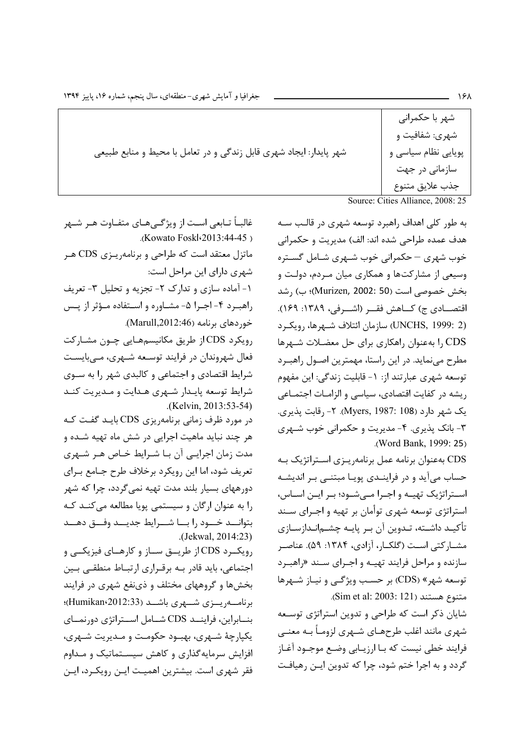|                                                                    | شهر با حکمرانی<br>شهري: شفافيت و |
|--------------------------------------------------------------------|----------------------------------|
| شهر پایدار: ایجاد شهری قابل زندگی و در تعامل با محیط و منابع طبیعی | پویایی نظام سیاسی و              |
|                                                                    | سازمانی در جهت                   |
|                                                                    | جذب علايق متنوع                  |

Source: Cities Alliance, 2008: 25

به طور کلی اهداف راهبرد توسعه شهری در قالب سـه هدف عمده طراحی شده اند: الف) مدیریت و حکمرانی خوب شهری – حکمرانی خوب شـهری شـامل گسـتره وسیعی از مشارکتها و همکاری میان مـردم، دولـت و بخش خصوصی است (Murizen, 2002: 50)؛ ب) رشد اقتصـــادي ج) كـــاهش فقـــر (اشـــرفي، ١٣٨٩: ١۶٩). (UNCHS, 1999: 2) سازمان ائتلاف شبهرها، روبكيرد CDS را بهعنوان راهكاري براي حل معضلات شـهرها مطرح می نماید. در این راستا، مهمترین اصـول راهبـرد توسعه شهري عبارتند از: ١- قابليت زندگي: اين مفهوم ریشه در کفایت اقتصادی، سیاسی و الزامـات اجتمـاعی یک شهر دارد (Myers, 1987: 108). ۲- رقابت پذیری. ۳- بانک پذیری. ۴- مدیریت و حکمرانی خوب شـهری .(Word Bank, 1999: 25)

CDS بهعنوان برنامه عمل برنامهريـزي اسـتراتژيک بـه حساب می آید و در فراینـدی پویـا مبتنـی بـر اندیشـه استراتژیک تهیـه و اجـرا مـیشـود؛ بـر ایـن اسـاس، استراتژی توسعه شهری توأمان بر تهیه و اجـرای سـند تأكيـد داشـته، تـدوين آن بـر پايـه چشـمانـدازسـازي مشــاركتي اســت (گلكــار، آزادي، ۱۳۸۴: ۵۹). عناصـر سازنده و مراحل فرایند تهیه و اجرای سند «راهبرد توسعه شهر» (CDS) بر حسب ویژگی و نیاز شـهرها متنوع هستند (Sim et al: 2003: 121).

شایان ذکر است که طراحی و تدوین استراتژی توسعه شهری مانند اغلب طرحهـای شـهری لزومـاً بـه معنـی فرایند خطی نیست که بـا ارزیـابی وضـع موجـود آغـاز گردد و به اجرا ختم شود، چرا که تدوین ایـن رهیافـت

.(Kowato Foskl: 2013: 44-45) ماتزل معتقد است که طراحی و برنامهرینزی CDS هنر شهری دارای این مراحل است: ۱- آماده سازی و تدارک ۲- تجزیه و تحلیل ۳- تعریف راهب ره ۴- اجرا ۵- مشاوره و استفاده موؤثر از پس خوردهای برنامه (Marull,2012:46). رویکرد CDS از طریق مکانیسمهایی چـون مشـارکت فعال شهروندان در فرایند توسـعه شـهری، مـه بایسـت شرایط اقتصادی و اجتماعی و کالبدی شهر را به سـوی شرایط توسعه پایدار شهری هـدایت و مـدیریت کنـد (Kelvin, 2013:53-54) در مورد ظرف زمانی برنامهریزی CDS بایـد گفـت کـه هر چند نباید ماهیت اجرایی در شش ماه تهیه شـده و

غالبــاً تــابعى اســت از ويژگــىهــاى متفــاوت هــر شــهر

مدت زمان اجرایـی آن بـا شـرایط خـاص هـر شـهری تعریف شود، اما این رویکرد برخلاف طرح جـامع بـرای دورههای بسیار بلند مدت تهیه نمی گردد، چرا که شهر را به عنوان ارگان و سیستمی پویا مطالعه میکند کـه بتوانسد خسود رابسا شسرايط جديسد وفسق دهسد  $Jekwal, 2014:23$ 

رویکرد CDS از طریت ساز و کارهای فیزیکی و اجتماعی، باید قادر بـه برقـراری ارتبـاط منطقـی بـین بخشها و گروههای مختلف و ذینفع شهری در فرایند برنامــهريــزى شــهرى باشــد (Humikan،2012:33)؛ بنسابراین، فراینسد CDS شسامل اسستراتژی دورنمسای یکیارچهٔ شـهری، بهبـود حکومـت و مـدیریت شـهری، افزایش سرمایه گذاری و کاهش سیسـتماتیک و مـداوم فقر شهری است. بیشترین اهمیت ایـن رویکـرد، ایـن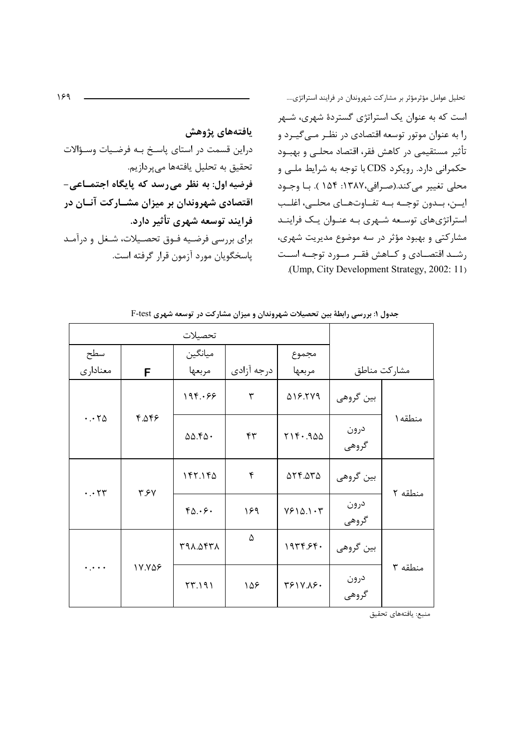يافتههاى پژوهش دراین قسمت در استای پاسخ بـه فرضـیات وسـؤالات تحقیق به تحلیل یافتهها میپردازیم. فرضیه اول: به نظر می رسد که پایگاه اجتمـاعی-اقتصادی شهروندان بر میزان مشـارکت آنــان در فرایند توسعه شهری تأثیر دارد. برای بررسی فرضیه فـوق تحصـیلات، شـغل و درآمـد پاسخگويان مورد آزمون قرار گرفته است.

تحلیل عوامل مؤثرمؤثر بر مشارکت شهروندان در فرایند استراتژی.... است که به عنوان یک استراتژی گستردهٔ شهری، شـهر را به عنوان موتور توسعه اقتصادی در نظـر مـی گیـرد و تأثیر مستقیمی در کاهش فقر، اقتصاد محلـی و بهبــود حکمرانی دارد. رویکرد CDS با توجه به شرایط ملبی و محلي تغيير مي كند.(صرافي،١٣٨٧: ١۵۴ ). با وجـود ايــن، بــدون توجــه بــه تفــاوتهــاي محلــي، اغلــب استراتژیهای توسـعه شـهری بـه عنـوان یـک فراینـد مشارکتی و بهبود مؤثر در سه موضوع مدیریت شهری، رشـد اقتصــادي و كــاهش فقــر مــورد توجــه اســت .(Ump, City Development Strategy, 2002: 11)

|                                             |                   | تحصيلات |                            |                              |               |              |  |
|---------------------------------------------|-------------------|---------|----------------------------|------------------------------|---------------|--------------|--|
| سطح                                         |                   | ميانگين |                            | مجموع                        |               |              |  |
| معناداري                                    | F                 | مربعها  | درجه آزادي                 | مربعها                       |               | مشاركت مناطق |  |
|                                             |                   | 195.99  | ٣                          | <b>AIS. TV9</b>              | بين گروهي     |              |  |
| 4.96.9<br>$\cdot \cdot \cdot \wedge \Delta$ | 00.50.            | ۴۳      | $Y \setminus Y \cdot .900$ | درون<br>گروهي                | منطقه ۱       |              |  |
| $\cdot \cdot \tau$ ۳                        |                   | 157.190 | ۴                          | $\Delta Y F \Delta T \Delta$ | بين گروهي     | منطقه ٢      |  |
| ۳.۶۷                                        | $Y_0.\cdot \xi$ . | ۱۶۹     | YF10.1Y                    | درون<br>گروهي                |               |              |  |
|                                             |                   |         | A774.047                   | ۵                            | 1979.59.      | بين گروهي    |  |
| $\ddotsc$                                   | 17.798            | 57.191  | ۱۵۶                        | TF1V.AF.                     | درون<br>گروهي | منطقه ۳      |  |

جدول ۱: بررسی رابطهٔ بین تحصیلات شهروندان و میزان مشارکت در توسعه شهری F-test

منبع: يافتههاي تحقيق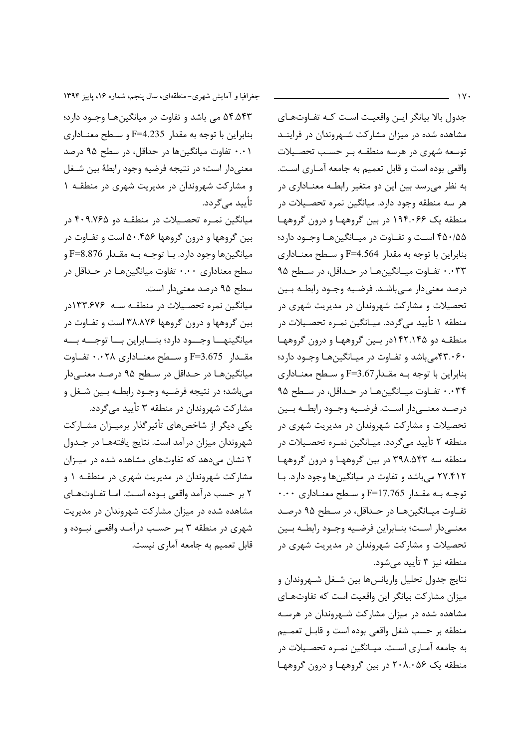$\gamma$ 

جدول بالا بیانگر ایـن واقعیـت اسـت کـه تفـاوتهـای مشاهده شده در میزان مشارکت شـهروندان در فراینـد توسعه شهری در هرسه منطقـه بـر حسـب تحصـيلات واقعی بوده است و قابل تعمیم به جامعه آمـاری اسـت. به نظر میرسد بین این دو متغیر رابطـه معنـاداری در هر سه منطقه وجود دارد. میانگین نمره تحصـیلات در منطقه یک ۱۹۴۰۰۶۶ در بین گروهها و درون گروهها ۴۵۰/۵۵ است و تفـاوت در میـانگینهـا وجـود دارد؛ بنابراین با توجه به مقدار F=4.564 و سطح معنـاداری ۰۰۳۳ تفاوت میـانگینهـا در حـداقل، در سـطح ۹۵ درصد معنی دار مے باشـد. فرضـیه وجـود رابطـه بـین تحصیلات و مشارکت شهروندان در مدیریت شهری در منطقه ۱ تأييد ميگردد. ميـانگين نمـره تحصـيلات در منطقـه دو ۱۴۲.۱۴۵در بـین گروههـا و درون گروههـا ۴۳.۰۶۰میباشد و تفـاوت در میـانگینهـا وجـود دارد؛ بنابراین با توجه بـه مقـدار F=3.67 و سـطح معنـاداری ۰۰۳۴ تفـاوت ميـانگينهـا در حـداقل، در سـطح ۹۵ درصـد معنــي‹ار اســت. فرضــيه وجــود رابطــه بــين تحصیلات و مشارکت شهروندان در مدیریت شهری در منطقه ۲ تأييد مي گردد. ميـانگين نمـره تحصـيلات در منطقه سه ۳۹۸.۵۴۳ در بین گروهها و درون گروهها ۲۷.۴۱۲ می باشد و تفاوت در میانگینها وجود دارد. با توجه به مقدار F=17.765 و سطح معناداري ۰.۰۰ تفـاوت ميـانگينھـا در حـداقل، در سـطح ۹۵ درصـد معنــىدار اسـت؛ بنــابراين فرضـيه وجــود رابطــه بــين تحصیلات و مشارکت شهروندان در مدیریت شهری در منطقه نيز ٣ تأييد مي شود.

نتايج جدول تحليل واريانسها بين شـغل شـهروندان و میزان مشارکت بیانگر این واقعیت است که تفاوتهـای مشاهده شده در میزان مشارکت شهروندان در هرسـه منطقه بر حسب شغل واقعي بوده است و قابـل تعمـيم به جامعه آمـاري اسـت. ميـانگين نمـره تحصـيلات در منطقه یک ۲۰۸.۰۵۶ در بین گروهها و درون گروهها

جغرافیا و آمایش شهری-منطقهای، سال پنجم، شماره ۱۶، پاییز ۱۳۹۴

۵۴.۵۴۳ می باشد و تفاوت در میانگینهـا وجـود دارد؛ بنابراين با توجه به مقدار F=4.235 و سبطح معنباداري ۰.۰۱ تفاوت میانگینها در حداقل، در سطح ۹۵ درصد معنىدار است؛ در نتيجه فرضيه وجود رابطهٔ بين شـغل و مشارکت شهروندان در مدیریت شهری در منطقـه ۱ تأييد مے گردد.

میانگین نمـره تحصـیلات در منطقـه دو ۴۰۹.۷۶۵ در بین گروهها و درون گروهها ۵۰.۴۵۶ است و تفـاوت در ميانگينها وجود دارد. بـا توجـه بـه مقـدار F=8.876 و سطح معناداري ۰.۰۰ تفاوت ميانگينهـا در حـداقل در سطح ۹۵ درصد معنی دار است.

میانگین نمره تحصیلات در منطقـه سـه ۱۳۳.۶۷۶در بین گروهها و درون گروهها ۳۸.۸۷۶ است و تفـاوت در میانگینهـــا وجـــود دارد؛ بنـــابراین بـــا توجـــه بـــه مقـدار F=3.675 و سـطح معنــاداري ۰.۰۲۸ تفــاوت ميانگينهـا در حـداقل در سـطح ۹۵ درصـد معنــي،دار میباشد؛ در نتیجه فرضیه وجـود رابطـه بـین شـغل و مشارکت شهروندان در منطقه ۳ تأييد ميگردد.

یکی دیگر از شاخصهای تأثیرگذار برمیـزان مشـارکت شهروندان میزان درآمد است. نتایج یافتههـا در جـدول ۲ نشان میدهد که تفاوتهای مشاهده شده در میـزان مشارکت شهروندان در مدیریت شهری در منطقـه ۱ و ۲ بر حسب درآمد واقعی بـوده اسـت. امـا تفـاوتهـای مشاهده شده در میزان مشارکت شهروندان در مدیریت شهری در منطقه ۳ بـر حسـب درآمـد واقعـی نبـوده و قابل تعمیم به جامعه آماری نیست.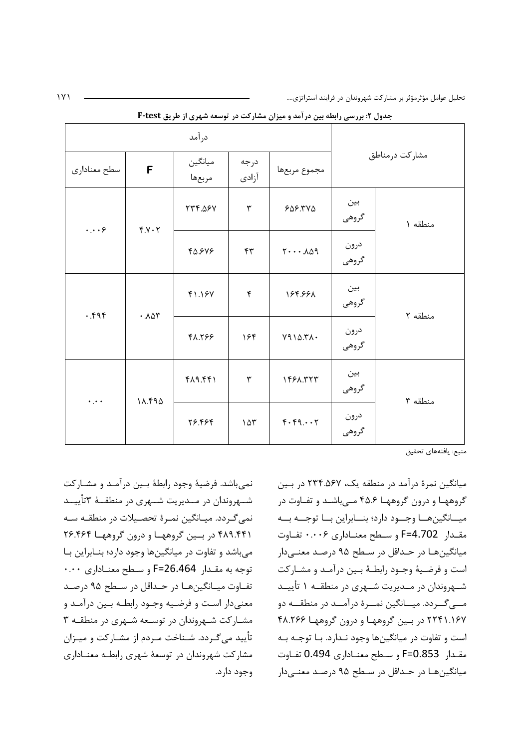|                           |                  |                   |                | - - -                                  |                |              |         |
|---------------------------|------------------|-------------------|----------------|----------------------------------------|----------------|--------------|---------|
| درآمد                     |                  |                   |                |                                        |                |              |         |
| سطح معناداري              | F                | ميانگين<br>مربعها | درجه<br>آزادى  | مجموع مربعها                           | مشاركت درمناطق |              |         |
| $\cdots$ ۶                | Y.Y.7            | <b>TTF.08V</b>    | ٣              | 605.740                                | بين<br>گروهی   | منطقه ۱      |         |
|                           |                  | 48.848            | $\mathbf{r}$   | $Y \cdot \cdot \cdot \Lambda \Delta q$ | درون<br>گروهی  |              |         |
| .595                      |                  | .104              | 41.187         | ۴                                      | 184.991        | بين<br>گروهی | منطقه ٢ |
|                           |                  | 48.199            | ۱۶۴            | Y 10.71.                               | درون<br>گروهی  |              |         |
| $\star$ , $\star$ $\star$ |                  |                   | $f\lambda9.9f$ | $\mathbf{\breve{r}}$                   | 1491.777       | بين<br>گروهی | منطقه ٣ |
|                           | 11.490<br>78.484 |                   | $10\tau$       | $F.FQ. \cdot Y$                        | درون<br>گروهی  |              |         |

حدول ۲: پی سی رابطه بین در آمد و میزان مشارکت در توسعه شده ی از طریق F-test

منبع: يافتههاي تحقيق

نميباشد. فرضية وجود رابطة بين درآمـد و مشـاركت شــهروندان در مــدیریت شــهری در منطقــهٔ ۳تأییــد نمی گـردد. میـانگین نمـرهٔ تحصـیلات در منطقـه سـه ۴۸۹.۴۴۱ در بسین گروههها و درون گروههها ۲۶.۴۶۴ می باشد و تفاوت در میانگینها وجود دارد؛ بنـابراین بـا توجه به مقدار F=26.464 و سطح معناداري ۰.۰۰ تفــاوت ميــانگينهــا در حــداقل در ســطح ۹۵ درصــد معنیدار است و فرضیه وجـود رابطـه بـین درآمـد و مشارکت شهروندان در توسعه شهری در منطقـه ۳ تأييد مي گـردد. شـناخت مـردم از مشـاركت و ميـزان مشارکت شهروندان در توسعهٔ شهری رابطـه معنـاداری وجود دارد. میانگین نمرهٔ درآمد در منطقه یک، ۲۳۴.۵۶۷ در بین گروههـا و درون گروههـا ۴۵.۶ مــی باشــد و تفـاوت در ميــانگينهــا وجــود دارد؛ بنــابراين بــا توجــه بــه مقـدار F=4.702 و سـطح معنـاداري ۰.۰۰۶ تفـاوت میانگینهـا در حـداقل در سـطح ۹۵ درصـد معنـی،دار است و فرضـيهٔ وجـود رابطـهٔ بـين درآمـد و مشـاركت شــهروندان در مــدیریت شــهری در منطقــه ۱ تأییــد مـــی گـــردد. میـــانگین نمـــرهٔ درآمـــد در منطقـــه دو ۲۲۴۱.۱۶۷ در بین گروهها و درون گروهها ۴۸.۲۶۶ است و تفاوت در میانگینها وجود نـدارد. بـا توجـه بـه مقدار F=0.853 و سطح معنـاداري 0.494 تفـاوت میانگینها در حـداقل در سـطح ۹۵ درصـد معنــیدار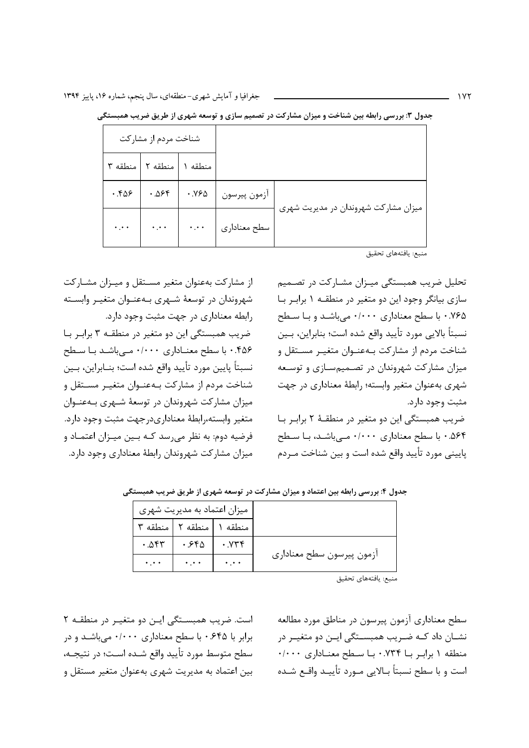|                                 | شناخت مردم از مشاركت        |                                     |                                      |
|---------------------------------|-----------------------------|-------------------------------------|--------------------------------------|
|                                 | منطقه ١   منطقه ٢   منطقه ٣ |                                     |                                      |
|                                 |                             | آزمون پیرسون   ۱۷۶۵   ۱۵۶۴   ۱۳۵۶ . |                                      |
| $\mathbf{L}$ , and $\mathbf{L}$ |                             | سطح معناداری   ۰.۰۰   ۰.۰۰          | میزان مشارکت شهروندان در مدیریت شهری |

جدول ۳: بررسی رابطه بین شناخت و میزان مشارکت در تصمیم سازی و توسعه شهری از طریق ضریب همبستگی

منبع: يافتههاي تحقيق

تحلیل ضریب همبستگی میـزان مشـارکت در تصـمیم سازی بیانگر وجود این دو متغیر در منطقـه ۱ برابـر بـا ۰.۷۶۵ با سطح معناداری ۰/۰۰۰ میباشد و با سطح نسبتاً بالايي مورد تأييد واقع شده است؛ بنابراين، بـين شناخت مردم از مشاركت بـهعنـوان متغيـر مسـتقل و میزان مشارکت شهروندان در تصـمیمسـازی و توسـعه شهری بهعنوان متغیر وابسته؛ رابطهٔ معناداری در جهت مثبت وجود دارد.

ضریب همبستگی این دو متغیر در منطقـهٔ ۲ برابـر بـا ۵۶۴. • با سطح معناداری ۱۰۰۰۰ مے باشد، با سطح پایینی مورد تأیید واقع شده است و بین شناخت مـردم

از مشارکت بهعنوان متغیر مستقل و میـزان مشـارکت شهروندان در توسعهٔ شـهری بـهعنـوان متغیـر وابسـته رابطه معناداری در جهت مثبت وجود دارد. ضریب همبستگی این دو متغیر در منطقه ۳ برابر با ۴۵۶. • با سطح معنـاداري ۰/۰۰۰ مـيباشـد بـا سـطح نسبتاً پايين مورد تأييد واقع شده است؛ بنــابراين، بــين شناخت مردم از مشارکت بـهعنـوان متغيـر مسـتقل و میزان مشارکت شهروندان در توسعهٔ شـهری بـهعنـوان متغير وابسته،رابطهٔ معناداريدرجهت مثبت وجود دارد. فرضیه دوم: به نظر می رسد کـه بـین میـزان اعتمـاد و میزان مشارکت شهروندان رابطهٔ معناداری وجود دارد.

جدول ۴: بررسی رابطه بین اعتماد و میزان مشارکت در توسعه شهری از طریق ضریب همبستگی

|                             | میزان اعتماد به مدیریت شهری |                             |           |  |
|-----------------------------|-----------------------------|-----------------------------|-----------|--|
|                             |                             | منطقه ١   منطقه ٢   منطقه ٣ |           |  |
|                             | $. y \ast \ast$             | .550                        | .057      |  |
| ازمون پیرسون سطح معناداری   | $\ddotsc$                   | $\ddotsc$                   | $\ddotsc$ |  |
| المستلف والمستحدث والمستقار |                             |                             |           |  |

است. ضریب همبستگی این دو متغییر در منطقـه ۲ برابر با ۶۴۵. • با سطح معناداری ۰/۰۰۰ میباشـد و در سطح متوسط مورد تأييد واقع شـده اسـت؛ در نتيجـه، بین اعتماد به مدیریت شهری بهعنوان متغیر مستقل و سطح معناداری آزمون پیرسون در مناطق مورد مطالعه نشــان داد کــه ضــریب همبســتگی ایــن دو متغیــر در منطقه ١ برابر با ٠.٧٣۴ با سطح معناداري ٠/٠٠٠ است و با سطح نسبتاً بــالايي مــورد تأييــد واقــع شــده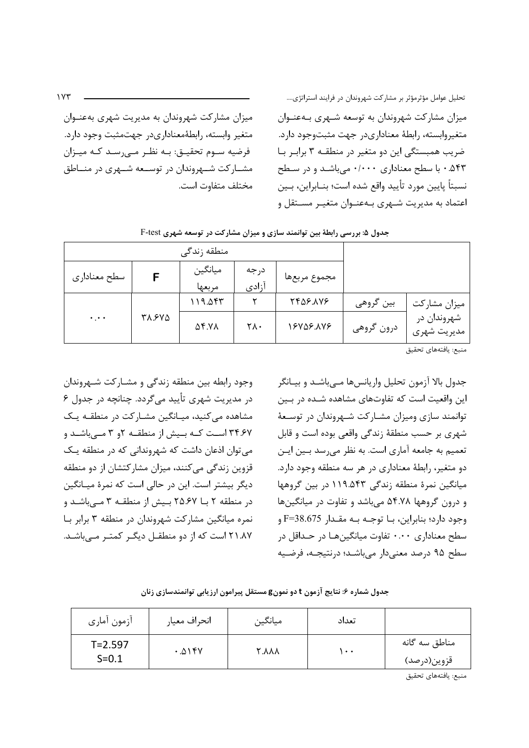تحلیل عوامل مؤثرمؤثر بر مشارکت شهروندان در فرایند استراتژی.... میزان مشارکت شهروندان به مدیریت شهری بهعنــوان میزان مشارکت شهروندان به توسعه شـهری بـهعنـوان متغير وابسته، رابطهٔمعناداریدر جهتمثبت وجود دارد. متغيروابسته، رابطهٔ معناداريدر جهت مثبتوجود دارد. فرضيه سـوم تحقيــق: بــه نظــر مــی,رســد کــه ميــزان ضریب همبستگی این دو متغیر در منطقـه ۳ برابـر بـا ۰.۵۴۳ با سطح معناداری ۰/۰۰۰ میباشد و در سطح مشــارکت شــهروندان در توســعه شــهری در منــاطق نسبتاً پايين مورد تأييد واقع شده است؛ بنــابراين، بــين مختلف متفاوت است. اعتماد به مدیریت شـهری بـهعنـوان متغیـر مسـتقل و

منطقه زندگی ميانگين درجه F سطح معناداري مجموع مربعها آزادى مربعها  $119.05$ **TFAS.AVS**  $\mathsf{r}$ بين گروهي میزان مشارکت شهروندان در **٣٨.۶٧٥**  $\dddot{\bullet}$  .  $\ddot{\bullet}$  $\Delta$ ۴. YA  $Y \wedge$ 18808.448 درون گروهي مديريت شهري

جدول ۵: بررسی رابطهٔ بین توانمند سازی و میزان مشارکت در توسعه شهری F-test

.<br>منبع: يافتههاي تحقيق

جدول بالا آزمون تحليل واريانسها مـىباشـد و بيــانگر این واقعیت است که تفاوتهای مشاهده شـده در بـین توانمند سازی ومیزان مشـارکت شـهروندان در توسـعهٔ شهري بر حسب منطقهٔ زندگي واقعي بوده است و قابل تعمیم به جامعه آماری است. به نظر می رسد بـین ایـن دو متغیر، رابطهٔ معناداری در هر سه منطقه وجود دارد. میانگین نمرهٔ منطقه زندگی ۱۱۹.۵۴۳ در بین گروهها و درون گروهها ۵۴.۷۸ می باشد و تفاوت در میانگینها وجود دارد؛ بنابراین، بــا توجــه بــه مقــدار F=38.675 و سطح معناداري ۰.۰۰ تفاوت ميانگينها در حـداقل در سطح ۹۵ درصد معنىدار مىباشد؛ درنتيجـه، فرضـيه

آزمون آماري انحراف معيار ميانگين تعداد مناطق سه گانه  $T = 2.597$  $.015V$ **YAAA**  $\sqrt{1 + 1}$  $S = 0.1$ قزوين(درصد) .<br>منبع: يافتههاي تحقيق

جدول شماره ۶: نتایج آزمون t دو نمونg مستقل پیرامون ارزیابی توانمندسازی زنان

در مديريت شهري تأييد مي گردد. چنانچه در جدول ۶ مشاهده می کنید، میـانگین مشـارکت در منطقـه یـک ۳۴.۶۷ است کـه بـیش از منطقـه ۶و ۳ مـیباشـد و می توان اذعان داشت که شهروندانی که در منطقه یک قزوین زندگی میکنند، میزان مشارکتشان از دو منطقه دیگر بیشتر است. این در حالی است که نمرهٔ میـانگین در منطقه ۲ با ۲۵.۶۷ بیش از منطقـه ۳ مـ باشـد و نمره میانگین مشارکت شهروندان در منطقه ۳ برابر با ٢١.٨٧ است كه از دو منطقـل ديگـر كمتـر مــى باشـد.

وجود رابطه بین منطقه زندگی و مشـارکت شـهروندان

 $1YY$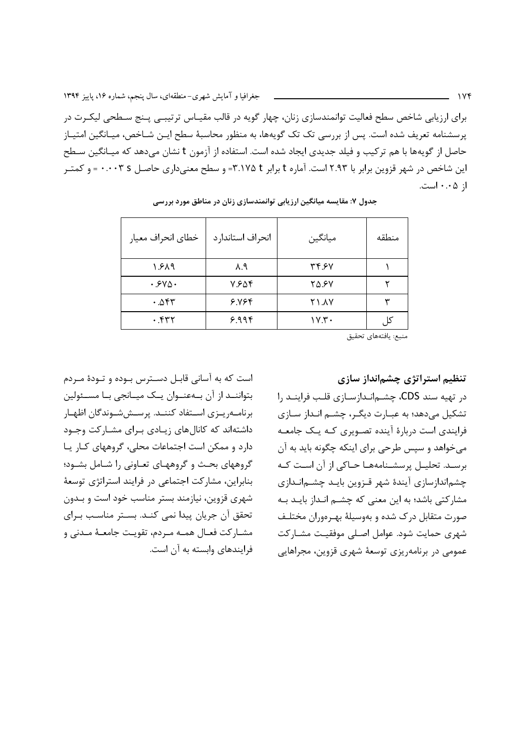برای ارزیابی شاخص سطح فعالیت توانمندسازی زنان، چهار گویه در قالب مقیـاس ترتیبـی پـنج سـطحی لیکـرت در پرسشنامه تعریف شده است. پس از بررسی تک تک گویهها، به منظور محاسبهٔ سطح ایـن شـاخص، میـانگین امتیـاز حاصل از گویهها با هم ترکیب و فیلد جدیدی ایجاد شده است. استفاده از آزمون t نشان می دهد که میـانگین سـطح این شاخص در شهر قزوین برابر با ۲.۹۳ است. آماره t برابر t ۳.۱۷۵ = و سطح معنیداری حاصل s ۰.۰۰۳ = و کمتـر از ۰.۰۵ است.

| خطاي انحراف معيار | انحراف استاندار د | ميانگين      | منطقه |
|-------------------|-------------------|--------------|-------|
| ۱.۶۸۹             | $\lambda.9$       | 34.97        |       |
| .540.             | ۷.۶۵۴             | 70.5V        |       |
| ۰.۵۴۳             | ۶.۷۶۴             | <b>71.AY</b> | س     |
| ۰.۴۳۲             | ۶.۹۹۴             | $\gamma$     | کا .  |

جدول ۷: مقایسه میانگین ارزیابی توانمندسازی زنان در مناطق مورد بررسی

منبع: يافتههاي تحقيق

است که به آسانی قابـل دسـترس بـوده و تـودهٔ مـردم بتواننـد از آن بـهعنـوان يـك ميـانجي بـا مسـئولين برنامـهريـزي اسـتفاد كننـد. پرسـششـوندگان اظهـار داشتهاند که کانالهای زیادی برای مشارکت وجود دارد و ممکن است اجتماعات محلی، گروههای کار یا گروههای بحث و گروههای تعـاونی را شـامل بشـود؛ بنابراین، مشارکت اجتماعی در فرایند استراتژی توسعهٔ شهری قزوین، نیازمند بستر مناسب خود است و بـدون تحقق آن جریان پیدا نمی کنـد. بسـتر مناسـب بـرای مشـاركت فعـال همـه مـردم، تقويـت جامعـهٔ مـدنى و فرایندهای وابسته به آن است. تنظیم استراتژی چشمانداز سازی

در تهیه سند CDS، چشـمانـدازسـازی قلـب فراینـد را تشکیل میدهد؛ به عبـارت دیگـر، چشــم انـداز ســازی فرایندی است دربارهٔ آینده تصـویری کـه یـک جامعـه می خواهد و سپس طرحی برای اینکه چگونه باید به آن برسـد. تحليـل پرسشـنامههـا حـاكى از آن اسـت كـه چشماندازسازی آیندهٔ شهر قـزوین بایـد چشـمانـدازی مشارکتی باشد؛ به این معنی که چشم انـداز بایـد بـه صورت متقابل درک شده و بهوسیلهٔ بهـرهوران مختلـف شهری حمایت شود. عوامل اصـلی موفقیـت مشـارکت عمومی در برنامهریزی توسعهٔ شهری قزوین، مجراهایی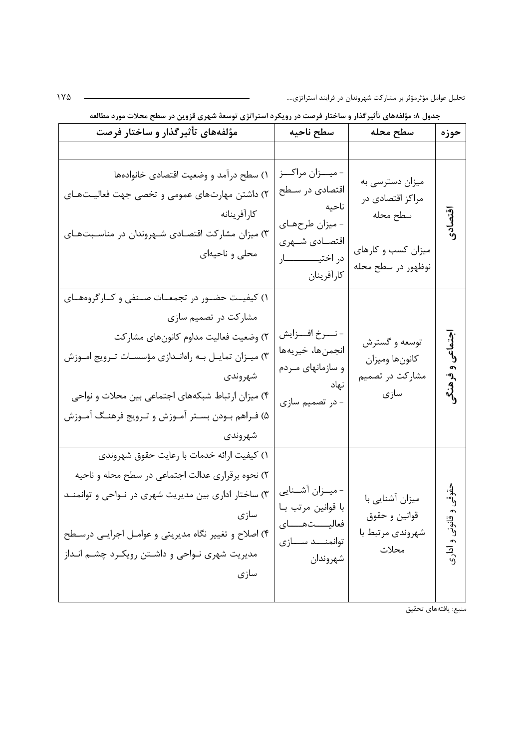تحلیل عوامل مؤثرمؤثر بر مشارکت شهروندان در فرایند استراتژی....

| مؤلفههای تأثیرگذار و ساختار فرصت                                                                                                                                                                                                                                                                          | سطح ناحيه                                                                                                                  | سطح محله                                                                                    | حوزه                          |
|-----------------------------------------------------------------------------------------------------------------------------------------------------------------------------------------------------------------------------------------------------------------------------------------------------------|----------------------------------------------------------------------------------------------------------------------------|---------------------------------------------------------------------------------------------|-------------------------------|
|                                                                                                                                                                                                                                                                                                           |                                                                                                                            |                                                                                             |                               |
| ۱) سطح درآمد و وضعیت اقتصادی خانوادهها<br>۲) داشتن مهارتهای عمومی و تخصی جهت فعالیـتهـای<br>كارأفرينانه<br>۳) میزان مشارکت اقتصادی شـهروندان در مناسـبتهـای<br>محلی و ناحیهای                                                                                                                             | - ميــزان مراكــز<br>اقتصادی در سـطح<br>ناحيه<br>- میزان طرحهـای<br>اقتصــادي شــهري<br>در اختيـــــــــــار<br>كارأفرينان | میزان دسترسی به<br>مراکز اقتصادی در<br>سطح محله<br>میزان کسب و کارهای<br>نوظهور در سطح محله | اقتصادى                       |
| ۱) کیفیت حضور در تجمعـات صـنفی و کـارگروههـای<br>مشارکت در تصمیم سازی<br>۲) وضعیت فعالیت مداوم کانونهای مشارکت<br>۳) میـزان تمایـل بـه راهانـدازی مؤسسـات تـرویج امـوزش<br>شهروندى<br>۴) میزان ارتباط شبکههای اجتماعی بین محلات و نواحی<br>۵) فـراهم بـودن بسـتر آمـوزش و تـرويج فرهنـگ آمـوزش<br>شهروندى | - نــــرخ افــــزايش<br>انجمن ها، خيريه ها<br>و سازمانهای مـردم<br>نهاد<br>- در تصمیم سازی                                 | توسعه و گسترش<br>كانونها وميزان<br>مشارکت در تصمیم<br>سازى                                  | اجتماعی<br>وفرهنگم            |
| ۱) کیفیت ارائه خدمات با رعایت حقوق شهروندی<br>۲) نحوه برقراری عدالت اجتماعی در سطح محله و ناحیه<br>۳) ساختار اداری بین مدیریت شهری در نـواحی و توانمنـد<br>سازى<br>۴) اصلاح و تغییر نگاه مدیریتی و عوامـل اجرایـی درسـطح<br>مدیریت شهری نـواحی و داشـتن رویکـرد چشـم انـداز<br>سازى                       | - میــزان آشــنایی<br>با قوانین مرتب بـا<br>فعاليستهساى<br>توانمنــد ســـازى<br>شهروندان                                   | میزان آشنایی با<br>قوانين و حقوق<br>شهروندي مرتبط با<br>محلات                               | وه.<br>وفي<br>قانونی و ادار ک |

جدول ۸: مؤلفههای تأثیرگذار و ساختار فرصت در رویکرد استراتژی توسعهٔ شهری قزوین در سطح محلات مورد مطالعه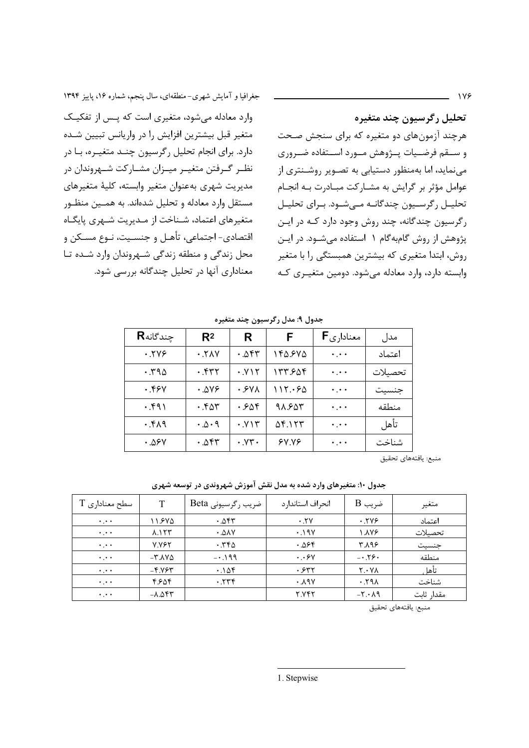جغرافیا و آمایش شهری-منطقهای، سال پنجم، شماره ۱۶، پاییز ۱۳۹۴

وارد معادله می شود، متغیری است که پس از تفکیک متغیر قبل بیشترین افزایش را در واریانس تبیین شـده دارد. برای انجام تحلیل رگرسیون چنـد متغیـره، بـا در نظـر گـرفتن متغيـر ميـزان مشـاركت شـهروندان در مديريت شهري بهعنوان متغير وابسته، كلية متغيرهاي مستقل وارد معادله و تحلیل شدهاند. به همـین منظـور متغیرهای اعتماد، شـناخت از مـدیریت شـهری پایگـاه اقتصادي- اجتماعي، تأهـل و جنسـيت، نـوع مسـكن و محل زندگی و منطقه زندگی شهروندان وارد شده تا معناداری آنها در تحلیل چندگانه بررسی شود.

تحليل رگرسيون چند متغيره هرچند آزمونهای دو متغیره که برای سنجش صحت و ســـقم فرضــيات يـــژوهش مــورد اســتفاده ضــرورى می نماید، اما بهمنظور دستیابی به تصـویر روشـنتری از عوامل مؤثر بر گرایش به مشـاركت مبـادرت بـه انجـام تحلیــل رگرســیون چندگانــه مــیشــود. بــرای تحلیــل رگرسيون چندگانه، چند روش وجود دارد كـه در ايـن پژوهش از روش گامبهگام ۱ استفاده می شـود. در ایـن روش، ابتدا متغیری که بیشترین همبستگی را با متغیر وابسته دارد، وارد معادله می شود. دومین متغیـری کـه

 $119$ 

جدول ۹: مدل رگرسیون چند متغیره

| <b>R</b> جندگانه | R <sup>2</sup>         | R                                     | F       | <b>F</b> معناداری               | مدل     |
|------------------|------------------------|---------------------------------------|---------|---------------------------------|---------|
| .799             | .7 <sub>N</sub>        | ۴۳۵. •                                | ۱۴۵.۶۷۵ | $\cdot$ , $\cdot$ $\cdot$       | اعتماد  |
| .790             | ۰.۴۳۲                  | . Y <sub>Y</sub>                      | 157.508 | $\ddotsc$                       | تحصيلات |
| ۰.۴۶۷            | ۰.۵۷۶                  | ۷۷۸ ۰                                 | 115.56  | $\star$ , $\star$ $\star$       | جنسيت   |
| .591             | .58                    | ۰.۶۵۴                                 | 98.684  | $\ddotsc$                       | منطقه   |
| $P \wedge 7.$    | $\cdot \Delta \cdot 9$ | . YY                                  | ۵۴.۱۲۳  | $\ddotsc$                       | تأهل    |
| ۰.۵۶۷            | ۰.۵۴۳                  | $\cdot$ . $\mathsf{Y}\mathsf{Y}\cdot$ | 9Y.Y    | $\bullet$ , $\bullet$ $\bullet$ | شناخت   |

منبع: يافتههاي تحقيق

جدول ۱۰: متغیرهای وارد شده به مدل نقش آموزش شهروندی در توسعه شهری

| $\rm T$ سطح معناداری $\rm T$ | т                                   | ضریب رگرسیونی Beta    | انحراف استاندارد | $B$ ضریب                                  | متغير      |
|------------------------------|-------------------------------------|-----------------------|------------------|-------------------------------------------|------------|
| $\ddotsc$                    | ۱۱.۶۷۵                              | $. \Delta$ ۴۳         | .7V              | .799                                      | اعتماد     |
| $\ddotsc$                    | $\lambda.155$                       | $\cdot$ . $\Delta$ av | .19V             | ۱.۸۷۶                                     | تحصىلات    |
| $\cdot \cdot \cdot$          | <b>V.VEY</b>                        | .750                  | ۴ھ∴∙             | <b>۳.۸۹۶</b>                              | جنسيت      |
| $\cdot \cdot \cdot$          | $-\mathsf{r}.\mathsf{AV}\mathsf{a}$ | $-0.199$              | $\cdot$ . ۶۷     | $-0.59$                                   | منطقه      |
| $\cdots$                     | $-F.Y$                              | $.1\Delta$ ۴          | ۰۶۳۲             | $Y \cdot Y \wedge$                        | تأهل       |
| $\ddotsc$                    | ۴.۶۵۴                               | .779                  | ۰.۸۹۷            | .591                                      | شناخت      |
| $\ddotsc$                    | $-\lambda. \Delta$ ۴۳               |                       | <b>7.742</b>     | $-\mathsf{r} \cdot \mathsf{A} \mathsf{q}$ | مقدار ثابت |

منبع: يافتههاى تحقيق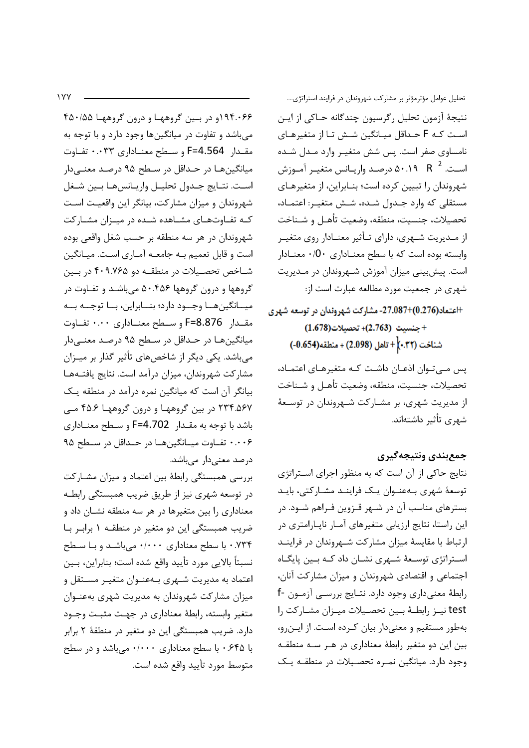$\sqrt{V}$ 

۱۹۴.۰۶۶و در بين گروهها و درون گروهها ۴۵۰/۵۵ میباشد و تفاوت در میانگینها وجود دارد و با توجه به مقدار F=4.564 و سطح معنـاداري ۰.۰۳۳ تفـاوت میانگینها در حداقل در سطح ۹۵ درصد معنـیدار است. نتـايج جـدول تحليـل واريـانسهـا بـين شـغل شهروندان و میزان مشارکت، بیانگر این واقعیت است کـه تفـاوتهـای مشـاهده شـده در میـزان مشـارکت .<br>شهروندان در هر سه منطقه بر حسب شغل واقعي بوده است و قابل تعمیم بـه جامعـه آمـاری اسـت. میـانگین شــاخص تحصــيلات در منطقــه دو ۴۰۹.۷۶۵ در بــين گروهها و درون گروهها ۵۰.۴۵۶ می باشـد و تفـاوت در ميــانگينهــا وجــود دارد؛ بنــابراين، بــا توجــه بــه مقـدار F=8.876 و سـطح معنــاداري ۰.۰۰ تفـاوت میانگینها در حداقل در سطح ۹۵ درصد معنـیدار می باشد. یکی دیگر از شاخصهای تأثیر گذار بر میـزان مشاركت شهروندان، ميزان درآمد است. نتايج يافتـههـا بیانگر آن است که میانگین نمره درآمد در منطقه یک ۲۳۴.۵۶۷ در بین گروهها و درون گروهها ۴۵.۶ مـی باشد با توجه به مقـدار F=4.702 و سـطح معنـاداري ۰.۰۰۶ تفـاوت ميـانگينهـا در حـداقل در سـطح ۹۵ درصد معنى دار مى باشد.

بررسی همبستگی رابطهٔ بین اعتماد و میزان مشـارکت در توسعه شهري نيز از طريق ضريب همبستگي رابطـه معناداری را بین متغیرها در هر سه منطقه نشـان داد و ضریب همبستگی این دو متغیر در منطقـه ۱ برابـر بـا ۰.۷۳۴ با سطح معناداری ۰/۰۰۰ میباشـد و بـا سـطح نسبتاً بالايي مورد تأييد واقع شده است؛ بنابراين، بـين اعتماد به مدیریت شـهری بـهعنـوان متغیـر مســتقل و میزان مشارکت شهروندان به مدیریت شهری بهعنـوان متغير وابسته، رابطة معناداري در جهت مثبت وجـود دارد. ضریب همبستگی این دو متغیر در منطقهٔ ۲ برابر با ۶۴۵. • با سطح معناداری ۰/۰۰۰ میباشد و در سطح متوسط مورد تأييد واقع شده است.

تحلیل عوامل مؤثرمؤثر بر مشارکت شهروندان در فرایند استراتژی.... نتيجهٔ آزمون تحليل رگرسيون چندگانه حـاکي از ايـن است کـه F حـداقل میـانگین شـش تـا از متغیرهـای نامساوی صفر است. پس شش متغییر وارد میدل شیده اسـت. 2 R - ۵۰.۱۹ درصـد واريـانس متغيـر آمـوزش شهروندان را تبيين كرده است؛ بنـابراين، از متغيرهـاي مستقلي كه وارد جـدول شـده، شـش متغيـر: اعتمـاد، تحصيلات، جنسيت، منطقه، وضعيت تأهـل و شـناخت از مــدیریت شــهری، دارای تــأثیر معنــادار روی متغیــر وابسته بوده است كه با سطح معنـادارى 0٠/٠ معنـادار است. پیشبینی میزان آموزش شـهروندان در مـدیریت شهری در جمعیت مورد مطالعه عبارت است از:

+اعتماد(0.276)+27.087- مشاركت شهروندان در توسعه شهرى + جنسيت (2.763)+ تحصيلات (1.678) شناخت (٣٢.•)|+ تاهل (2.098) + منطقه(0.654)-) پس مےتوان اذعـان داشـت كـه متغيرهـاي اعتمـاد،

تحصيلات، جنسيت، منطقه، وضعيت تأهـل و شـناخت از مدیریت شهری، بر مشـارکت شـهروندان در توسـعهٔ شهری تأثیر داشتهاند.

### جمع بندي ونتيجه گيري

نتایج حاکی از آن است که به منظور اجرای استراتژی توسعهٔ شهری بـهعنـوان یـک فراینـد مشـارکتی، بایـد بسترهای مناسب آن در شـهر قـزوین فـراهم شـود. در این راستا، نتایج ارزیابی متغیرهای آمـار ناپـارامتری در ارتباط با مقایسهٔ میزان مشارکت شهروندان در فراینـد اسـتراتژی توسـعهٔ شـهری نشـان داد کـه بـین پایگـاه اجتماعی و اقتصادی شهروندان و میزان مشارکت آنان، رابطة معنىداري وجود دارد. نتـايج بررسـي آزمـون -f test نيـز رابطــهٔ بــين تحصـيلات ميـزان مشـاركت را بهطور مستقیم و معنیدار بیان کرده است. از اینرو، بین این دو متغیر رابطهٔ معناداری در هـر سـه منطقـه وجود دارد. میانگین نمـره تحصـیلات در منطقـه یـک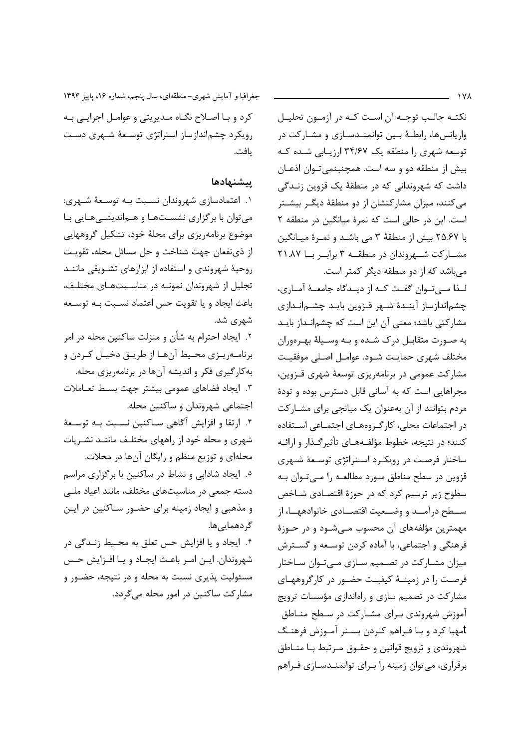$\lambda$  Y A

نکتـه جالـب توجـه آن اسـت کـه در آزمـون تحليـل واریانس ها، رابطـهٔ بـین توانمنـدسـازی و مشـارکت در توسعه شهری را منطقه یک ۳۴/۶۷ ارزیابی شده ک بيش از منطقه دو و سه است. همچنينمي تـوان اذعـان داشت که شهروندانی که در منطقهٔ یک قزوین زنـدگی می کنند، میزان مشارکتشان از دو منطقهٔ دیگـر بیشـتر است. این در حالی است که نمرهٔ میانگین در منطقه ۲ با ٢٥.۶٧ بيش از منطقة ٣ مي باشـد و نمـرة ميـانگين مشارکت شهروندان در منطقه ۳ براب ربا ۲۱.۸۷ می باشد که از دو منطقه دیگر کمتر است.

لـذا مــي تــوان گفــت كــه از ديــدگاه جامعــهٔ آمــارى، چشماندازساز آینـدهٔ شـهر قـزوین بایـد چشـمانـدازی مشارکتی باشد؛ معنی آن این است که چشمانـداز بایـد به صورت متقابل درک شـده و بـه وسـيلهٔ بهـرهوران مختلف شهري حمايت شـود. عوامـل اصـلى موفقيـت مشارکت عمومی در برنامهریزی توسعهٔ شهری قـزوین، مجراهایی است که به آسانی قابل دسترس بوده و تودهٔ مردم بتوانند از آن بهعنوان یک میانجی برای مشـارکت در اجتماعات محلی، کارگروههـای اجتمـاعی اسـتفاده کنند؛ در نتیجه، خطوط مؤلف4هـای تأثیرگـذار و ارائـه ساختار فرصت در رویکـرد اسـتراتژی توسـعهٔ شـهری قزوین در سطح مناطق مـورد مطالعـه را مـی تـوان بـه سطوح زیر ترسیم کرد که در حوزهٔ اقتصادی شـاخص ســطح درآمــد و وضــعیت اقتصــادی خانوادههــا، از مهمترين مؤلفههاي آن محسوب مـيشـود و در حـوزهٔ فرهنگی و اجتماعی، با آماده کردن توسـعه و گسـترش میزان مشـارکت در تصـمیم سـازی مـیتوان سـاختار فرصت را در زمینـهٔ کیفیـت حضـور در کارگروههـای مشارکت در تصمیم سازی و راهاندازی مؤسسات ترویج آموزش شهروندي بـراي مشـاركت در سـطح منـاطق tمهیا کرد و بـا فـراهم کـردن بسـتر آمـوزش فرهنـگ شهروندي و ترويج قوانين و حقــوق مــرتبط بــا منــاطق برقراری، می توان زمینه را بـرای توانمنـدسـازی فـراهم

جغرافیا و آمایش شهری-منطقهای، سال پنجم، شماره ۱۶، پاییز ۱۳۹۴ کرد و بـا اصـلاح نگـاه مـدیریتی و عوامـل اجرایـی بـه رویکرد چشماندازساز استراتژی توسعهٔ شهری دست ىافت.

#### ييشنهادها

١. اعتمادسازي شهروندان نسـبت بـه توسـعهٔ شـهري: می توان با برگزاری نشستها و هماندیشههایی با موضوع برنامهريزي براي محلهٔ خود، تشكيل گروههايي از ذي نفعان جهت شناخت و حل مسائل محله، تقويت روحیهٔ شهروندی و استفاده از ابزارهای تشویقی ماننـد تجلیل از شهروندان نمونـه در مناسـبتهـای مختلـف، باعث ايجاد ويا تقويت حس اعتماد نسبت بـه توسـعه شهری شد.

۲. ایجاد احترام به شأن و منزلت ساکنین محله در امر برنامـهريـزي محـيط آنهـا از طريـق دخيـل كـردن و به کارگیری فکر و اندیشه آنها در برنامهریزی محله. ۳. ایجاد فضاهای عمومی بیشتر جهت بسـط تعـاملات اجتماعي شهروندان و ساكنين محله. ۴. ارتقا و افزایش آگاهی سـاکنین نسـبت بـه توسـعهٔ شهری و محله خود از راههای مختلـف ماننـد نشـریات محلهای و توزیع منظم و رایگان آنها در محلات. ۵. ایجاد شادابی و نشاط در ساکنین با برگزاری مراسم دسته جمعی در مناسبتهای مختلف، مانند اعیاد ملـی و مذهبی و ایجاد زمینه برای حضور سـاکنین در ایـن گر دھمایے ھا. ۰۶. ایجاد و یا افزایش حس تعلق به محـیط زنـدگی در شهروندان. ايــن امــر باعـث ايجــاد و يــا افــزايش حــس

مسئولیت پذیری نسبت به محله و در نتیجه، حضـور و مشارکت ساکنین در امور محله می گردد.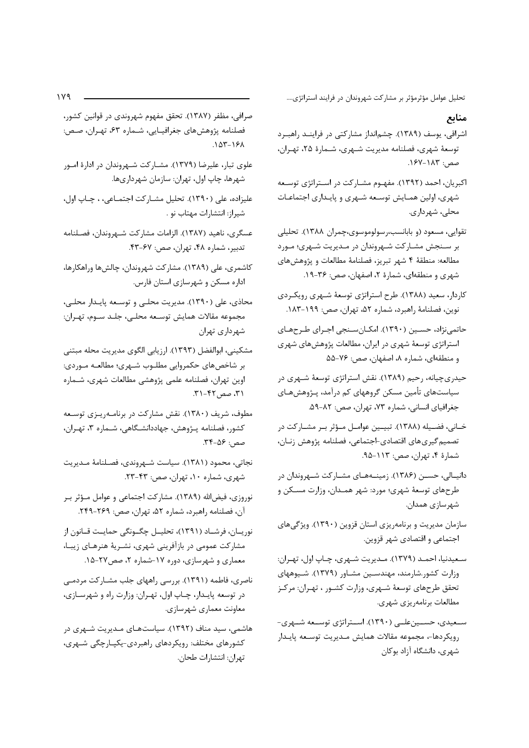تحلیل عوامل مؤثرمؤثر بر مشارکت شهروندان در فرایند استراتژی....

#### منابع

- اشراقی، یوسف (۱۳۸۹). چشمانداز مشارکتی در فراینـد راهبـرد توسعهٔ شهری، فصلنامه مدیریت شهری، شـمارهٔ ۲۵، تهـران، صص: ١٨٣-١٤٧.
- اکبریان، احمد (۱۳۹۲). مفهـوم مشـارکت در اسـتراتژی توسـعه شهری، اولین همـایش توسـعه شـهری و پایـداری اجتماعـات محلي، شهرداري.
- تقوایی، مسعود (و بابانسب،رسولوموسوی،چمران ۱۳۸۸). تحلیلی بر سنجش مشاركت شهروندان در مـديريت شـهري؛ مـورد مطالعه: منطقهٔ ۴ شهر تبریز، فصلنامهٔ مطالعات و پژوهشهای شهری و منطقهای، شمارهٔ ۲، اصفهان، صص: ۳۶-۱۹.
- کاردار، سعید (۱۳۸۸). طرح استراتژی توسعهٔ شـهری رویکـردی نوين، فصلنامة راهبرد، شماره ۵۲، تهران، صص: ۱۹۹–۱۸۳.
- حاتمی نژاد، حسـین (۱۳۹۰). امکـانسـنجی اجـرای طـرحهـای استراتژی توسعهٔ شهری در ایران، مطالعات پژوهشهای شهری و منطقهای، شماره ٨، اصفهان، صص: ٧۶-۵۵
- حیدریچیانه، رحیم (۱۳۸۹). نقش استراتژی توسعهٔ شـهری در سیاستهای تأمین مسکن گروههای کم درآمد، پـژوهشهـای جغرافياي انساني، شماره ٧٣، تهران، صص: ٨٢-٥٩.
- خـاني، فضـيله (١٣٨٨). تبيـين عوامـل مـؤثر بـر مشـاركت در تصميم گيري هاي اقتصادي-اجتماعي، فصلنامه پژوهش زنـان، شمارهٔ ۴، تهران، صص: ۱۱۳-۹۵.
- دانیالی، حسـن (۱۳۸۶). زمینـههـای مشـارکت شـهروندان در طرحهای توسعهٔ شهری؛ مورد: شهر همـدان، وزارت مسـکن و شهرسازي همدان.
- سازمان مدیریت و برنامهریزی استان قزوین (۱۳۹۰). ویژگیهای اجتماعي و اقتصادي شهر قزوين.
- سعيدنيا، احمـد (١٣٧٩). مـديريت شـهري، چـاپ اول، تهـران: وزارت کشور.شارمند، مهندسـین مشـاور (۱۳۷۹). شـیوههای تحقق طرحهاي توسعهٔ شـهري، وزارت كشـور ، تهـران: مركـز مطالعات برنامەريزى شهرى.
- سـعیدی، حسـینعلـی (۱۳۹۰). اسـتراتژی توسـعه شـهری-رويكردها-، مجموعه مقالات همايش مـديريت توسـعه پايـدار شهری، دانشگاه آزاد بوکان
- صرافی، مظفر (۱۳۸۷). تحقق مفهوم شهروندی در قوانین کشور، فصلنامه پژوهشهای جغرافیـایی، شـماره ۶۳، تهـران، صـص:  $.107 - 191$
- علوی تبار، علیرضا (۱۳۷۹). مشــارکت شــهروندان در ادارهٔ امــور شهرها، چاپ اول، تهران: سازمان شهرداریها.
- عليزاده، على (١٣٩٠). تحليل مشـاركت اجتمـاعي، ، چـاپ اول، شيراز: انتشارات مهتاب نو .
- عسگری، ناهید (۱۳۸۷). الزامات مشارکت شـهروندان، فصـلنامه تدبير، شماره ۴۸، تهران، صص: ۶۷-۴۳.
- کاشمری، علی (۱۳۸۹). مشارکت شهروندان، چالش ها وراهکارها، اداره مسکن و شهرسازی استان فارس.
- محاذي، علي (١٣٩٠). مديريت محلي و توسـعه پايـدار محلـي، مجموعه مقالات همايش توسـعه محلـي، جلـد سـوم، تهـران: شهرداری تهران
- مشكيني، ابوالفضل (١٣٩٣). ارزيابي الگوي مديريت محله مبتني بر شاخصهای حکمروایی مطلـوب شـهری؛ مطالعـه مـوردی: اوین تهران، فصلنامه علمی پژوهشی مطالعات شهری، شـماره ۳۱، صص ۴۲-۳۱.
- مطوف، شریف (۱۳۸۰). نقش مشارکت در برنامـهریـزی توسـعه كشور، فصلنامه پـژوهش، جهاددانشـگاهي، شـماره ٣، تهـران، صص: ۴۶-۳۴.
- نجاتي، محمود (١٣٨١). سياست شـهروندي، فصـلنامهٔ مـديريت شهري، شماره ۱۰، تهران، صص: ۴۳-۲۳.
- نوروزی، فیضالله (۱۳۸۹). مشارکت اجتماعی و عوامل مـؤثر بـر آن، فصلنامه راهبرد، شماره ۵۲، تهران، صص: ۲۶۹-۲۴۹.
- نوريــان، فرشــاد (١٣٩١)، تحليــل چگــونگي حمايــت قــانون از مشارکت عمومی در بازآفرینی شهری، نشـریهٔ هنرهـای زیبـا، معماری و شهرسازی، دوره ۱۷-شماره ۲، صص۲۷-۱۵.
- ناصری، فاطمه (۱۳۹۱). بررسی راههای جلب مشــارکت مردمــی در توسعه پايدار، چاپ اول، تهران: وزارت راه و شهرسازي، معاونت معماری شهرسازی.
- هاشمی، سید مناف (۱۳۹۲). سیاستهای مـدیریت شـهری در کشورهای مختلف: رویکردهای راهبردی-یکپـارچگی شـهری، تهران: انتشارات طحان.